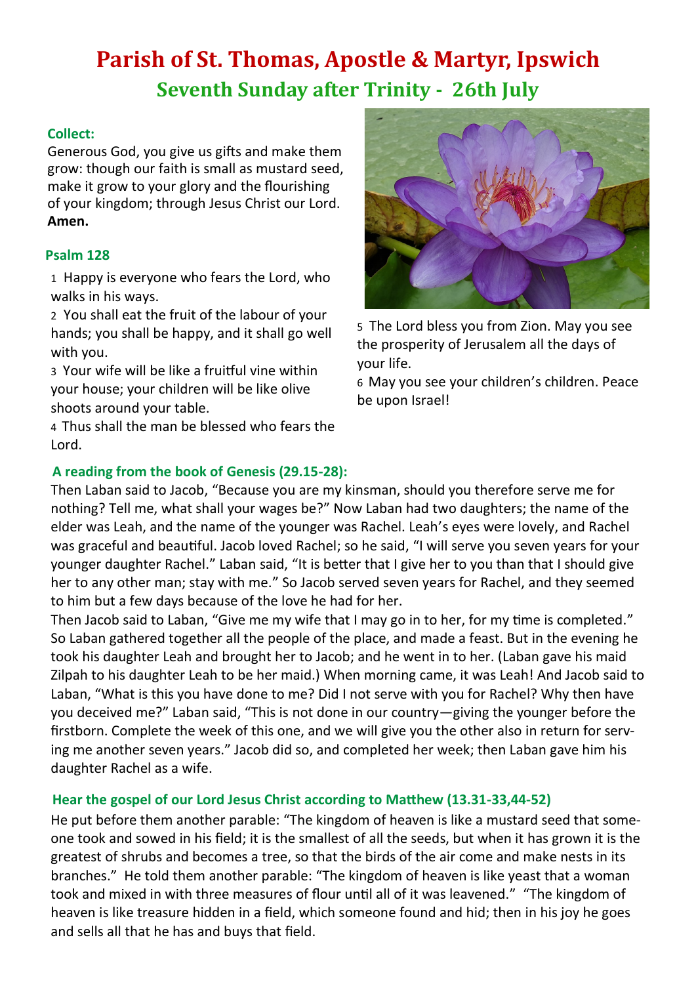# **Parish of St. Thomas, Apostle & Martyr, Ipswich Seventh Sunday after Trinity - 26th July**

#### **Collect:**

Generous God, you give us gifts and make them grow: though our faith is small as mustard seed, make it grow to your glory and the flourishing of your kingdom; through Jesus Christ our Lord. **Amen.**

#### **Psalm 128**

1 Happy is everyone who fears the Lord, who walks in his ways.

2 You shall eat the fruit of the labour of your hands; you shall be happy, and it shall go well with you.

3 Your wife will be like a fruitful vine within your house; your children will be like olive shoots around your table.

4 Thus shall the man be blessed who fears the Lord.



5 The Lord bless you from Zion. May you see the prosperity of Jerusalem all the days of your life.

6 May you see your children's children. Peace be upon Israel!

### **A reading from the book of Genesis (29.15-28):**

Then Laban said to Jacob, "Because you are my kinsman, should you therefore serve me for nothing? Tell me, what shall your wages be?" Now Laban had two daughters; the name of the elder was Leah, and the name of the younger was Rachel. Leah's eyes were lovely, and Rachel was graceful and beautiful. Jacob loved Rachel; so he said, "I will serve you seven years for your younger daughter Rachel." Laban said, "It is better that I give her to you than that I should give her to any other man; stay with me." So Jacob served seven years for Rachel, and they seemed to him but a few days because of the love he had for her.

Then Jacob said to Laban, "Give me my wife that I may go in to her, for my time is completed." So Laban gathered together all the people of the place, and made a feast. But in the evening he took his daughter Leah and brought her to Jacob; and he went in to her. (Laban gave his maid Zilpah to his daughter Leah to be her maid.) When morning came, it was Leah! And Jacob said to Laban, "What is this you have done to me? Did I not serve with you for Rachel? Why then have you deceived me?" Laban said, "This is not done in our country—giving the younger before the firstborn. Complete the week of this one, and we will give you the other also in return for serving me another seven years." Jacob did so, and completed her week; then Laban gave him his daughter Rachel as a wife.

### **Hear the gospel of our Lord Jesus Christ according to Matthew (13.31-33,44-52)**

He put before them another parable: "The kingdom of heaven is like a mustard seed that someone took and sowed in his field; it is the smallest of all the seeds, but when it has grown it is the greatest of shrubs and becomes a tree, so that the birds of the air come and make nests in its branches." He told them another parable: "The kingdom of heaven is like yeast that a woman took and mixed in with three measures of flour until all of it was leavened." "The kingdom of heaven is like treasure hidden in a field, which someone found and hid; then in his joy he goes and sells all that he has and buys that field.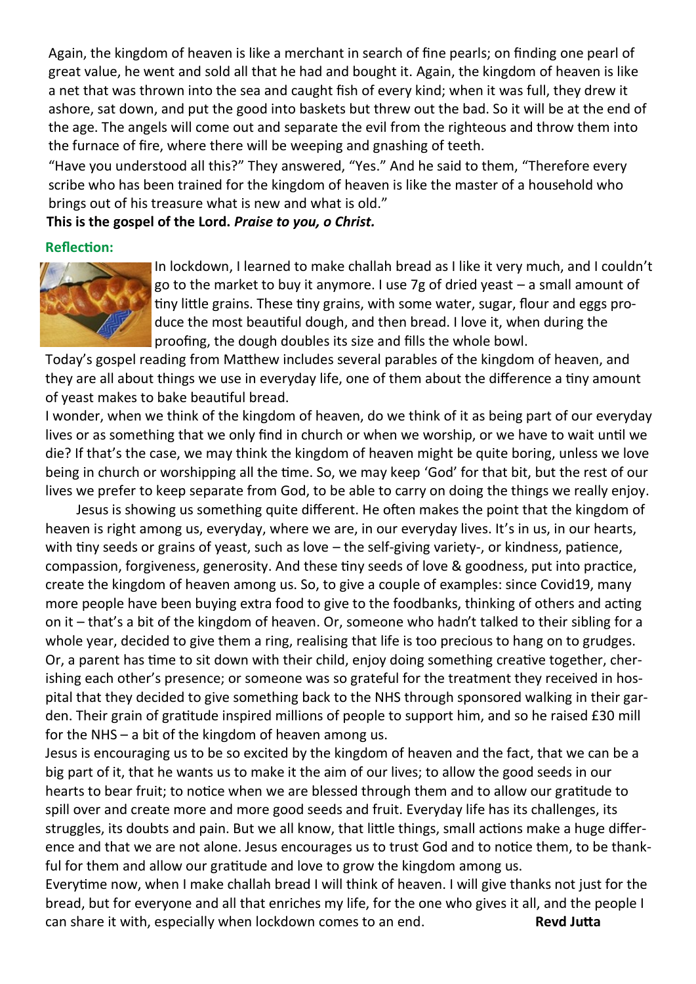Again, the kingdom of heaven is like a merchant in search of fine pearls; on finding one pearl of great value, he went and sold all that he had and bought it. Again, the kingdom of heaven is like a net that was thrown into the sea and caught fish of every kind; when it was full, they drew it ashore, sat down, and put the good into baskets but threw out the bad. So it will be at the end of the age. The angels will come out and separate the evil from the righteous and throw them into the furnace of fire, where there will be weeping and gnashing of teeth.

"Have you understood all this?" They answered, "Yes." And he said to them, "Therefore every scribe who has been trained for the kingdom of heaven is like the master of a household who brings out of his treasure what is new and what is old."

**This is the gospel of the Lord.** *Praise to you, o Christ.*

#### **Reflection:**



In lockdown, I learned to make challah bread as I like it very much, and I couldn't go to the market to buy it anymore. I use 7g of dried yeast – a small amount of tiny little grains. These tiny grains, with some water, sugar, flour and eggs produce the most beautiful dough, and then bread. I love it, when during the proofing, the dough doubles its size and fills the whole bowl.

Today's gospel reading from Matthew includes several parables of the kingdom of heaven, and they are all about things we use in everyday life, one of them about the difference a tiny amount of yeast makes to bake beautiful bread.

I wonder, when we think of the kingdom of heaven, do we think of it as being part of our everyday lives or as something that we only find in church or when we worship, or we have to wait until we die? If that's the case, we may think the kingdom of heaven might be quite boring, unless we love being in church or worshipping all the time. So, we may keep 'God' for that bit, but the rest of our lives we prefer to keep separate from God, to be able to carry on doing the things we really enjoy.

 Jesus is showing us something quite different. He often makes the point that the kingdom of heaven is right among us, everyday, where we are, in our everyday lives. It's in us, in our hearts, with tiny seeds or grains of yeast, such as love – the self-giving variety-, or kindness, patience, compassion, forgiveness, generosity. And these tiny seeds of love & goodness, put into practice, create the kingdom of heaven among us. So, to give a couple of examples: since Covid19, many more people have been buying extra food to give to the foodbanks, thinking of others and acting on it – that's a bit of the kingdom of heaven. Or, someone who hadn't talked to their sibling for a whole year, decided to give them a ring, realising that life is too precious to hang on to grudges. Or, a parent has time to sit down with their child, enjoy doing something creative together, cherishing each other's presence; or someone was so grateful for the treatment they received in hospital that they decided to give something back to the NHS through sponsored walking in their garden. Their grain of gratitude inspired millions of people to support him, and so he raised £30 mill for the NHS – a bit of the kingdom of heaven among us.

Jesus is encouraging us to be so excited by the kingdom of heaven and the fact, that we can be a big part of it, that he wants us to make it the aim of our lives; to allow the good seeds in our hearts to bear fruit; to notice when we are blessed through them and to allow our gratitude to spill over and create more and more good seeds and fruit. Everyday life has its challenges, its struggles, its doubts and pain. But we all know, that little things, small actions make a huge difference and that we are not alone. Jesus encourages us to trust God and to notice them, to be thankful for them and allow our gratitude and love to grow the kingdom among us.

Everytime now, when I make challah bread I will think of heaven. I will give thanks not just for the bread, but for everyone and all that enriches my life, for the one who gives it all, and the people I can share it with, especially when lockdown comes to an end. **Revellutta Revellutta**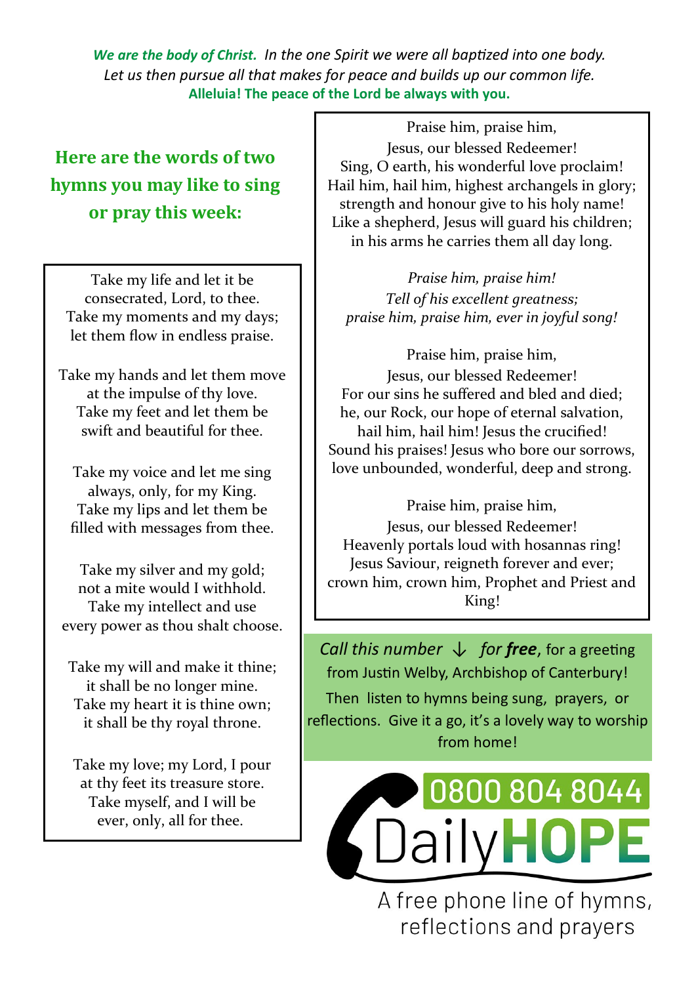*We are the body of Christ. In the one Spirit we were all baptized into one body. Let us then pursue all that makes for peace and builds up our common life.*  **Alleluia! The peace of the Lord be always with you.**

## **Here are the words of two hymns you may like to sing or pray this week:**

Take my life and let it be consecrated, Lord, to thee. Take my moments and my days; let them flow in endless praise.

Take my hands and let them move at the impulse of thy love. Take my feet and let them be swift and beautiful for thee.

Take my voice and let me sing always, only, for my King. Take my lips and let them be filled with messages from thee.

Take my silver and my gold; not a mite would I withhold. Take my intellect and use every power as thou shalt choose.

Take my will and make it thine; it shall be no longer mine. Take my heart it is thine own; it shall be thy royal throne.

Take my love; my Lord, I pour at thy feet its treasure store. Take myself, and I will be ever, only, all for thee.

Praise him, praise him, Jesus, our blessed Redeemer! Sing, O earth, his wonderful love proclaim! Hail him, hail him, highest archangels in glory; strength and honour give to his holy name! Like a shepherd, Jesus will guard his children; in his arms he carries them all day long.

*Praise him, praise him! Tell of his excellent greatness; praise him, praise him, ever in joyful song!*

Praise him, praise him, Jesus, our blessed Redeemer! For our sins he suffered and bled and died; he, our Rock, our hope of eternal salvation, hail him, hail him! Jesus the crucified! Sound his praises! Jesus who bore our sorrows, love unbounded, wonderful, deep and strong.

Praise him, praise him, Jesus, our blessed Redeemer! Heavenly portals loud with hosannas ring! Jesus Saviour, reigneth forever and ever; crown him, crown him, Prophet and Priest and King!

*Call this number* ↓ *for free*, for a greeting from Justin Welby, Archbishop of Canterbury! Then listen to hymns being sung, prayers, or reflections. Give it a go, it's a lovely way to worship from home!



A free phone line of hymns, reflections and prayers